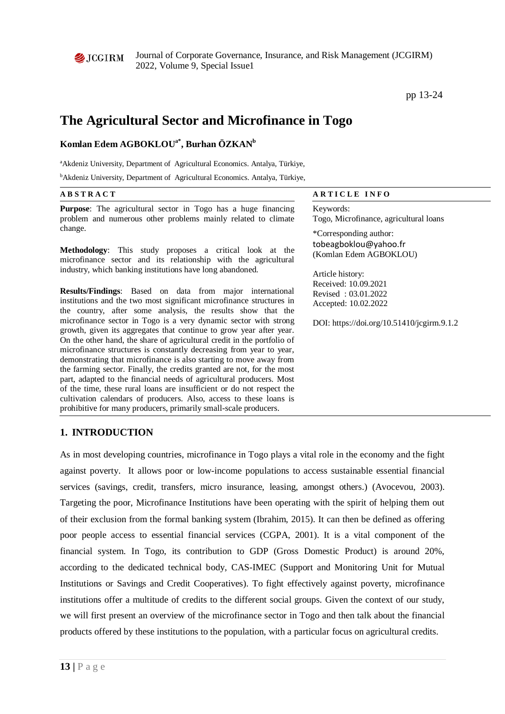

Journal of Corporate Governance, Insurance, and Risk Management (JCGIRM) 2022, Volume 9, Special Issue1

pp 13-24

# **The Agricultural Sector and Microfinance in Togo**

## $\mathbf K$ omlan Edem AGBOKLOU<sup>a\*</sup>, Burhan ÖZKAN<sup>b</sup>

<sup>a</sup> Akdeniz University, Department of Agricultural Economics. Antalya, Türkiye,

bAkdeniz University, Department of Agricultural Economics. Antalya, Türkiye,

| <b>ABSTRACT</b>                                                                                                                                                                                                                                                                                                                                                                                                                                                                                                                                                                                                                                                                                                                                                                                                                                                                                                                                                                                                                                                                 | <b>ARTICLE INFO</b>                                                                                                                                                                                                |  |  |  |  |
|---------------------------------------------------------------------------------------------------------------------------------------------------------------------------------------------------------------------------------------------------------------------------------------------------------------------------------------------------------------------------------------------------------------------------------------------------------------------------------------------------------------------------------------------------------------------------------------------------------------------------------------------------------------------------------------------------------------------------------------------------------------------------------------------------------------------------------------------------------------------------------------------------------------------------------------------------------------------------------------------------------------------------------------------------------------------------------|--------------------------------------------------------------------------------------------------------------------------------------------------------------------------------------------------------------------|--|--|--|--|
| <b>Purpose:</b> The agricultural sector in Togo has a huge financing<br>problem and numerous other problems mainly related to climate                                                                                                                                                                                                                                                                                                                                                                                                                                                                                                                                                                                                                                                                                                                                                                                                                                                                                                                                           | Keywords:<br>Togo, Microfinance, agricultural loans                                                                                                                                                                |  |  |  |  |
| change.<br>Methodology: This study proposes a critical look at the<br>microfinance sector and its relationship with the agricultural<br>industry, which banking institutions have long abandoned.<br><b>Results/Findings:</b> Based on data from major international<br>institutions and the two most significant microfinance structures in<br>the country, after some analysis, the results show that the<br>microfinance sector in Togo is a very dynamic sector with strong<br>growth, given its aggregates that continue to grow year after year.<br>On the other hand, the share of agricultural credit in the portfolio of<br>microfinance structures is constantly decreasing from year to year,<br>demonstrating that microfinance is also starting to move away from<br>the farming sector. Finally, the credits granted are not, for the most<br>part, adapted to the financial needs of agricultural producers. Most<br>of the time, these rural loans are insufficient or do not respect the<br>cultivation calendars of producers. Also, access to these loans is | *Corresponding author:<br>tobeagboklou@yahoo.fr<br>(Komlan Edem AGBOKLOU)<br>Article history:<br>Received: 10.09.2021<br>Revised: 03.01.2022<br>Accepted: 10.02.2022<br>DOI: https://doi.org/10.51410/jcgirm.9.1.2 |  |  |  |  |
| prohibitive for many producers, primarily small-scale producers.                                                                                                                                                                                                                                                                                                                                                                                                                                                                                                                                                                                                                                                                                                                                                                                                                                                                                                                                                                                                                |                                                                                                                                                                                                                    |  |  |  |  |

### **1. INTRODUCTION**

As in most developing countries, microfinance in Togo plays a vital role in the economy and the fight against poverty. It allows poor or low-income populations to access sustainable essential financial services (savings, credit, transfers, micro insurance, leasing, amongst others.) (Avocevou, 2003). Targeting the poor, Microfinance Institutions have been operating with the spirit of helping them out of their exclusion from the formal banking system (Ibrahim, 2015). It can then be defined as offering poor people access to essential financial services (CGPA, 2001). It is a vital component of the financial system. In Togo, its contribution to GDP (Gross Domestic Product) is around 20%, according to the dedicated technical body, CAS-IMEC (Support and Monitoring Unit for Mutual Institutions or Savings and Credit Cooperatives). To fight effectively against poverty, microfinance institutions offer a multitude of credits to the different social groups. Given the context of our study, we will first present an overview of the microfinance sector in Togo and then talk about the financial products offered by these institutions to the population, with a particular focus on agricultural credits.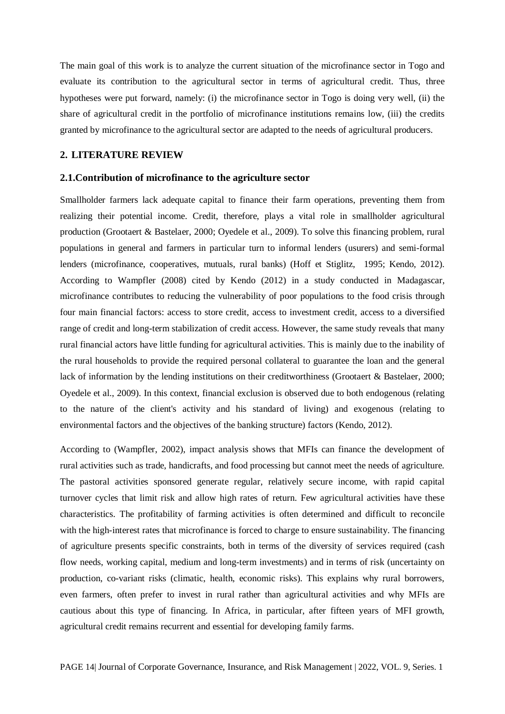The main goal of this work is to analyze the current situation of the microfinance sector in Togo and evaluate its contribution to the agricultural sector in terms of agricultural credit. Thus, three hypotheses were put forward, namely: (i) the microfinance sector in Togo is doing very well, (ii) the share of agricultural credit in the portfolio of microfinance institutions remains low, (iii) the credits granted by microfinance to the agricultural sector are adapted to the needs of agricultural producers.

#### **2. LITERATURE REVIEW**

#### **2.1.Contribution of microfinance to the agriculture sector**

Smallholder farmers lack adequate capital to finance their farm operations, preventing them from realizing their potential income. Credit, therefore, plays a vital role in smallholder agricultural production (Grootaert & Bastelaer, 2000; Oyedele et al., 2009). To solve this financing problem, rural populations in general and farmers in particular turn to informal lenders (usurers) and semi-formal lenders (microfinance, cooperatives, mutuals, rural banks) (Hoff et Stiglitz, 1995; Kendo, 2012). According to Wampfler (2008) cited by Kendo (2012) in a study conducted in Madagascar, microfinance contributes to reducing the vulnerability of poor populations to the food crisis through four main financial factors: access to store credit, access to investment credit, access to a diversified range of credit and long-term stabilization of credit access. However, the same study reveals that many rural financial actors have little funding for agricultural activities. This is mainly due to the inability of the rural households to provide the required personal collateral to guarantee the loan and the general lack of information by the lending institutions on their creditworthiness (Grootaert & Bastelaer, 2000; Oyedele et al., 2009). In this context, financial exclusion is observed due to both endogenous (relating to the nature of the client's activity and his standard of living) and exogenous (relating to environmental factors and the objectives of the banking structure) factors (Kendo, 2012).

According to (Wampfler, 2002), impact analysis shows that MFIs can finance the development of rural activities such as trade, handicrafts, and food processing but cannot meet the needs of agriculture. The pastoral activities sponsored generate regular, relatively secure income, with rapid capital turnover cycles that limit risk and allow high rates of return. Few agricultural activities have these characteristics. The profitability of farming activities is often determined and difficult to reconcile with the high-interest rates that microfinance is forced to charge to ensure sustainability. The financing of agriculture presents specific constraints, both in terms of the diversity of services required (cash flow needs, working capital, medium and long-term investments) and in terms of risk (uncertainty on production, co-variant risks (climatic, health, economic risks). This explains why rural borrowers, even farmers, often prefer to invest in rural rather than agricultural activities and why MFIs are cautious about this type of financing. In Africa, in particular, after fifteen years of MFI growth, agricultural credit remains recurrent and essential for developing family farms.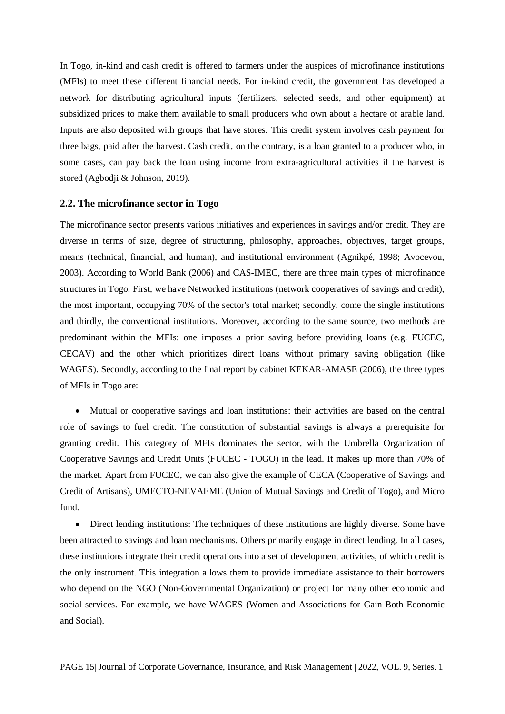In Togo, in-kind and cash credit is offered to farmers under the auspices of microfinance institutions (MFIs) to meet these different financial needs. For in-kind credit, the government has developed a network for distributing agricultural inputs (fertilizers, selected seeds, and other equipment) at subsidized prices to make them available to small producers who own about a hectare of arable land. Inputs are also deposited with groups that have stores. This credit system involves cash payment for three bags, paid after the harvest. Cash credit, on the contrary, is a loan granted to a producer who, in some cases, can pay back the loan using income from extra-agricultural activities if the harvest is stored (Agbodji & Johnson, 2019).

#### **2.2. The microfinance sector in Togo**

The microfinance sector presents various initiatives and experiences in savings and/or credit. They are diverse in terms of size, degree of structuring, philosophy, approaches, objectives, target groups, means (technical, financial, and human), and institutional environment (Agnikpé, 1998; Avocevou, 2003). According to World Bank (2006) and CAS-IMEC, there are three main types of microfinance structures in Togo. First, we have Networked institutions (network cooperatives of savings and credit), the most important, occupying 70% of the sector's total market; secondly, come the single institutions and thirdly, the conventional institutions. Moreover, according to the same source, two methods are predominant within the MFIs: one imposes a prior saving before providing loans (e.g. FUCEC, CECAV) and the other which prioritizes direct loans without primary saving obligation (like WAGES). Secondly, according to the final report by cabinet KEKAR-AMASE (2006), the three types of MFIs in Togo are:

• Mutual or cooperative savings and loan institutions: their activities are based on the central role of savings to fuel credit. The constitution of substantial savings is always a prerequisite for granting credit. This category of MFIs dominates the sector, with the Umbrella Organization of Cooperative Savings and Credit Units (FUCEC - TOGO) in the lead. It makes up more than 70% of the market. Apart from FUCEC, we can also give the example of CECA (Cooperative of Savings and Credit of Artisans), UMECTO-NEVAEME (Union of Mutual Savings and Credit of Togo), and Micro fund.

• Direct lending institutions: The techniques of these institutions are highly diverse. Some have been attracted to savings and loan mechanisms. Others primarily engage in direct lending. In all cases, these institutions integrate their credit operations into a set of development activities, of which credit is the only instrument. This integration allows them to provide immediate assistance to their borrowers who depend on the NGO (Non-Governmental Organization) or project for many other economic and social services. For example, we have WAGES (Women and Associations for Gain Both Economic and Social).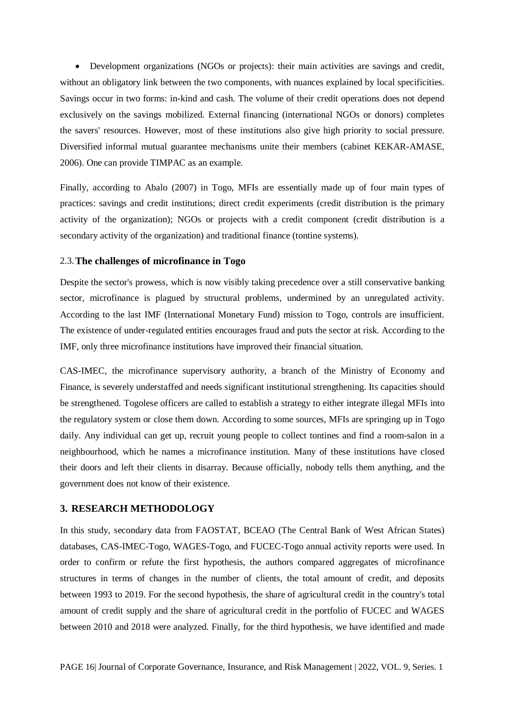• Development organizations (NGOs or projects): their main activities are savings and credit, without an obligatory link between the two components, with nuances explained by local specificities. Savings occur in two forms: in-kind and cash. The volume of their credit operations does not depend exclusively on the savings mobilized. External financing (international NGOs or donors) completes the savers' resources. However, most of these institutions also give high priority to social pressure. Diversified informal mutual guarantee mechanisms unite their members (cabinet KEKAR-AMASE, 2006). One can provide TIMPAC as an example.

Finally, according to Abalo (2007) in Togo, MFIs are essentially made up of four main types of practices: savings and credit institutions; direct credit experiments (credit distribution is the primary activity of the organization); NGOs or projects with a credit component (credit distribution is a secondary activity of the organization) and traditional finance (tontine systems).

#### 2.3.**The challenges of microfinance in Togo**

Despite the sector's prowess, which is now visibly taking precedence over a still conservative banking sector, microfinance is plagued by structural problems, undermined by an unregulated activity. According to the last IMF (International Monetary Fund) mission to Togo, controls are insufficient. The existence of under-regulated entities encourages fraud and puts the sector at risk. According to the IMF, only three microfinance institutions have improved their financial situation.

CAS-IMEC, the microfinance supervisory authority, a branch of the Ministry of Economy and Finance, is severely understaffed and needs significant institutional strengthening. Its capacities should be strengthened. Togolese officers are called to establish a strategy to either integrate illegal MFIs into the regulatory system or close them down. According to some sources, MFIs are springing up in Togo daily. Any individual can get up, recruit young people to collect tontines and find a room-salon in a neighbourhood, which he names a microfinance institution. Many of these institutions have closed their doors and left their clients in disarray. Because officially, nobody tells them anything, and the government does not know of their existence.

#### **3. RESEARCH METHODOLOGY**

In this study, secondary data from FAOSTAT, BCEAO (The Central Bank of West African States) databases, CAS-IMEC-Togo, WAGES-Togo, and FUCEC-Togo annual activity reports were used. In order to confirm or refute the first hypothesis, the authors compared aggregates of microfinance structures in terms of changes in the number of clients, the total amount of credit, and deposits between 1993 to 2019. For the second hypothesis, the share of agricultural credit in the country's total amount of credit supply and the share of agricultural credit in the portfolio of FUCEC and WAGES between 2010 and 2018 were analyzed. Finally, for the third hypothesis, we have identified and made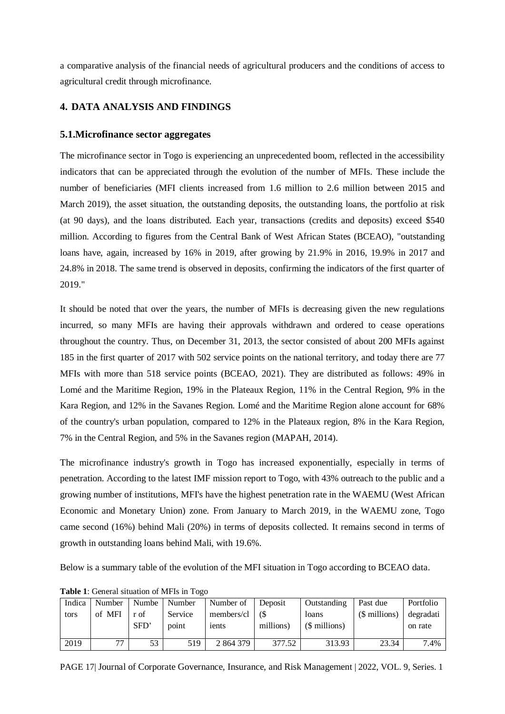a comparative analysis of the financial needs of agricultural producers and the conditions of access to agricultural credit through microfinance.

### **4. DATA ANALYSIS AND FINDINGS**

### **5.1.Microfinance sector aggregates**

The microfinance sector in Togo is experiencing an unprecedented boom, reflected in the accessibility indicators that can be appreciated through the evolution of the number of MFIs. These include the number of beneficiaries (MFI clients increased from 1.6 million to 2.6 million between 2015 and March 2019), the asset situation, the outstanding deposits, the outstanding loans, the portfolio at risk (at 90 days), and the loans distributed. Each year, transactions (credits and deposits) exceed \$540 million. According to figures from the Central Bank of West African States (BCEAO), "outstanding loans have, again, increased by 16% in 2019, after growing by 21.9% in 2016, 19.9% in 2017 and 24.8% in 2018. The same trend is observed in deposits, confirming the indicators of the first quarter of 2019."

It should be noted that over the years, the number of MFIs is decreasing given the new regulations incurred, so many MFIs are having their approvals withdrawn and ordered to cease operations throughout the country. Thus, on December 31, 2013, the sector consisted of about 200 MFIs against 185 in the first quarter of 2017 with 502 service points on the national territory, and today there are 77 MFIs with more than 518 service points (BCEAO, 2021). They are distributed as follows: 49% in Lomé and the Maritime Region, 19% in the Plateaux Region, 11% in the Central Region, 9% in the Kara Region, and 12% in the Savanes Region. Lomé and the Maritime Region alone account for 68% of the country's urban population, compared to 12% in the Plateaux region, 8% in the Kara Region, 7% in the Central Region, and 5% in the Savanes region (MAPAH, 2014).

The microfinance industry's growth in Togo has increased exponentially, especially in terms of penetration. According to the latest IMF mission report to Togo, with 43% outreach to the public and a growing number of institutions, MFI's have the highest penetration rate in the WAEMU (West African Economic and Monetary Union) zone. From January to March 2019, in the WAEMU zone, Togo came second (16%) behind Mali (20%) in terms of deposits collected. It remains second in terms of growth in outstanding loans behind Mali, with 19.6%.

Below is a summary table of the evolution of the MFI situation in Togo according to BCEAO data.

| Indica | Number | Numbe | Number  | Number of  | Deposit   | Outstanding   | Past due      | Portfolio |
|--------|--------|-------|---------|------------|-----------|---------------|---------------|-----------|
| tors   | of MFI | r of  | Service | members/cl |           | loans         | (\$ millions) | degradati |
|        |        | SFD'  | point   | ients      | millions) | (\$ millions) |               | on rate   |
|        |        |       |         |            |           |               |               |           |
| 2019   | 77     | 53    | 519     | 2 864 379  | 377.52    | 313.93        | 23.34         | 7.4%      |

**Table 1**: General situation of MFIs in Togo

PAGE 17| Journal of Corporate Governance, Insurance, and Risk Management | 2022, VOL. 9, Series. 1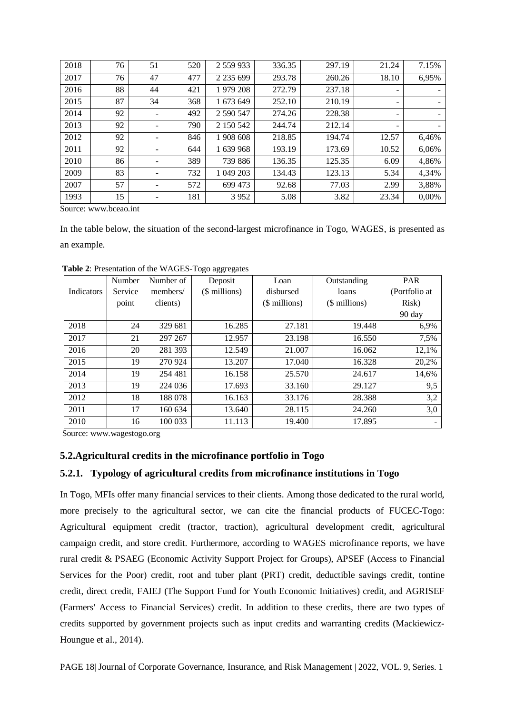| 2018 | 76 | 51 | 520 | 2 559 933     | 336.35 | 297.19 | 21.24                    | 7.15% |
|------|----|----|-----|---------------|--------|--------|--------------------------|-------|
| 2017 | 76 | 47 | 477 | 2 2 3 5 6 9 9 | 293.78 | 260.26 | 18.10                    | 6,95% |
| 2016 | 88 | 44 | 421 | 1979 208      | 272.79 | 237.18 | -                        |       |
| 2015 | 87 | 34 | 368 | 1 673 649     | 252.10 | 210.19 | -                        | -     |
| 2014 | 92 |    | 492 | 2 590 547     | 274.26 | 228.38 | $\overline{\phantom{a}}$ | -     |
| 2013 | 92 |    | 790 | 2 150 542     | 244.74 | 212.14 | -                        | -     |
| 2012 | 92 |    | 846 | 1 908 608     | 218.85 | 194.74 | 12.57                    | 6,46% |
| 2011 | 92 |    | 644 | 1 639 968     | 193.19 | 173.69 | 10.52                    | 6,06% |
| 2010 | 86 |    | 389 | 739 886       | 136.35 | 125.35 | 6.09                     | 4,86% |
| 2009 | 83 |    | 732 | 1 049 203     | 134.43 | 123.13 | 5.34                     | 4,34% |
| 2007 | 57 |    | 572 | 699 473       | 92.68  | 77.03  | 2.99                     | 3,88% |
| 1993 | 15 |    | 181 | 3952          | 5.08   | 3.82   | 23.34                    | 0,00% |

Source: www.bceao.int

In the table below, the situation of the second-largest microfinance in Togo, WAGES, is presented as an example.

|            | Number  | Number of | Deposit       | Loan          | Outstanding   | <b>PAR</b>       |
|------------|---------|-----------|---------------|---------------|---------------|------------------|
| Indicators | Service | members/  | (\$ millions) | disbursed     | loans         | (Portfolio at    |
|            | point   | clients)  |               | (\$ millions) | (\$ millions) | Risk)            |
|            |         |           |               |               |               | $90 \text{ day}$ |
| 2018       | 24      | 329 681   | 16.285        | 27.181        | 19.448        | 6,9%             |
| 2017       | 21      | 297 267   | 12.957        | 23.198        | 16.550        | 7,5%             |
| 2016       | 20      | 281 393   | 12.549        | 21.007        | 16.062        | 12,1%            |
| 2015       | 19      | 270 924   | 13.207        | 17.040        | 16.328        | 20,2%            |
| 2014       | 19      | 254 481   | 16.158        | 25.570        | 24.617        | 14,6%            |
| 2013       | 19      | 224 036   | 17.693        | 33.160        | 29.127        | 9,5              |
| 2012       | 18      | 188 078   | 16.163        | 33.176        | 28.388        | 3,2              |
| 2011       | 17      | 160 634   | 13.640        | 28.115        | 24.260        | 3,0              |
| 2010       | 16      | 100 033   | 11.113        | 19.400        | 17.895        |                  |

**Table 2**: Presentation of the WAGES-Togo aggregates

Source: [www.wagestogo.org](http://www.wagestogo.org/)

### **5.2.Agricultural credits in the microfinance portfolio in Togo**

### **5.2.1. Typology of agricultural credits from microfinance institutions in Togo**

In Togo, MFIs offer many financial services to their clients. Among those dedicated to the rural world, more precisely to the agricultural sector, we can cite the financial products of FUCEC-Togo: Agricultural equipment credit (tractor, traction), agricultural development credit, agricultural campaign credit, and store credit. Furthermore, according to WAGES microfinance reports, we have rural credit & PSAEG (Economic Activity Support Project for Groups), APSEF (Access to Financial Services for the Poor) credit, root and tuber plant (PRT) credit, deductible savings credit, tontine credit, direct credit, FAIEJ (The Support Fund for Youth Economic Initiatives) credit, and AGRISEF (Farmers' Access to Financial Services) credit. In addition to these credits, there are two types of credits supported by government projects such as input credits and warranting credits (Mackiewicz-Houngue et al., 2014).

PAGE 18| Journal of Corporate Governance, Insurance, and Risk Management | 2022, VOL. 9, Series. 1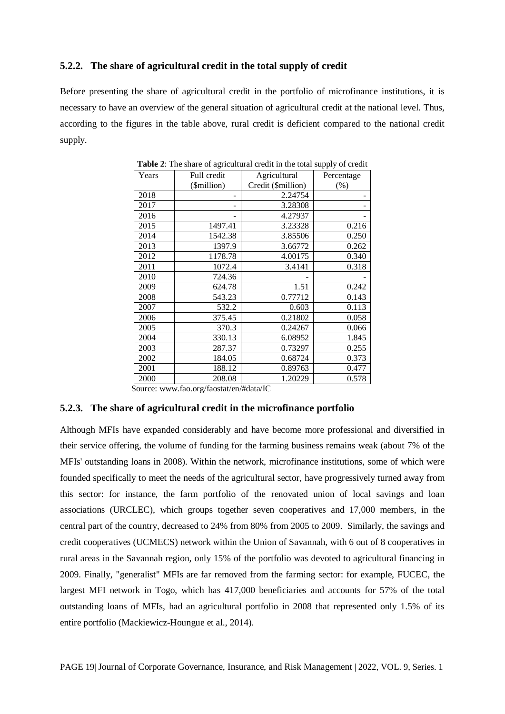### **5.2.2. The share of agricultural credit in the total supply of credit**

Before presenting the share of agricultural credit in the portfolio of microfinance institutions, it is necessary to have an overview of the general situation of agricultural credit at the national level. Thus, according to the figures in the table above, rural credit is deficient compared to the national credit supply.

| Years | Full credit | Agricultural       | Percentage |  |
|-------|-------------|--------------------|------------|--|
|       | (\$million) | Credit (\$million) | (% )       |  |
| 2018  |             | 2.24754            |            |  |
| 2017  |             | 3.28308            |            |  |
| 2016  |             | 4.27937            |            |  |
| 2015  | 1497.41     | 3.23328            | 0.216      |  |
| 2014  | 1542.38     | 3.85506            | 0.250      |  |
| 2013  | 1397.9      | 3.66772            | 0.262      |  |
| 2012  | 1178.78     | 4.00175            | 0.340      |  |
| 2011  | 1072.4      | 3.4141             | 0.318      |  |
| 2010  | 724.36      |                    |            |  |
| 2009  | 624.78      | 1.51               | 0.242      |  |
| 2008  | 543.23      | 0.77712            | 0.143      |  |
| 2007  | 532.2       | 0.603              | 0.113      |  |
| 2006  | 375.45      | 0.21802            | 0.058      |  |
| 2005  | 370.3       | 0.24267            | 0.066      |  |
| 2004  | 330.13      | 6.08952            | 1.845      |  |
| 2003  | 287.37      | 0.73297            | 0.255      |  |
| 2002  | 184.05      | 0.68724            | 0.373      |  |
| 2001  | 188.12      | 0.89763            | 0.477      |  |
| 2000  | 208.08      | 1.20229            | 0.578      |  |

**Table 2**: The share of agricultural credit in the total supply of credit

Source: [www.fao.org/faostat/en/#data/IC](http://www.fao.org/faostat/en/#data/IC)

#### **5.2.3. The share of agricultural credit in the microfinance portfolio**

Although MFIs have expanded considerably and have become more professional and diversified in their service offering, the volume of funding for the farming business remains weak (about 7% of the MFIs' outstanding loans in 2008). Within the network, microfinance institutions, some of which were founded specifically to meet the needs of the agricultural sector, have progressively turned away from this sector: for instance, the farm portfolio of the renovated union of local savings and loan associations (URCLEC), which groups together seven cooperatives and 17,000 members, in the central part of the country, decreased to 24% from 80% from 2005 to 2009. Similarly, the savings and credit cooperatives (UCMECS) network within the Union of Savannah, with 6 out of 8 cooperatives in rural areas in the Savannah region, only 15% of the portfolio was devoted to agricultural financing in 2009. Finally, "generalist" MFIs are far removed from the farming sector: for example, FUCEC, the largest MFI network in Togo, which has 417,000 beneficiaries and accounts for 57% of the total outstanding loans of MFIs, had an agricultural portfolio in 2008 that represented only 1.5% of its entire portfolio (Mackiewicz-Houngue et al., 2014).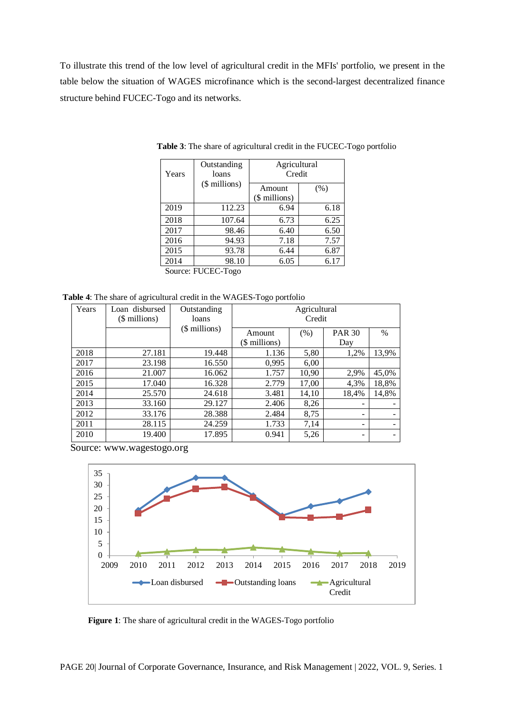To illustrate this trend of the low level of agricultural credit in the MFIs' portfolio, we present in the table below the situation of WAGES microfinance which is the second-largest decentralized finance structure behind FUCEC-Togo and its networks.

| Years              | Outstanding<br>loans | Agricultural<br>Credit  |      |  |  |  |
|--------------------|----------------------|-------------------------|------|--|--|--|
|                    | (\$ millions)        | Amount<br>(\$ millions) | (% ) |  |  |  |
| 2019               | 112.23               | 6.94                    | 6.18 |  |  |  |
| 2018               | 107.64               | 6.73                    | 6.25 |  |  |  |
| 2017               | 98.46                | 6.40                    | 6.50 |  |  |  |
| 2016               | 94.93                | 7.18                    | 7.57 |  |  |  |
| 2015               | 93.78                | 6.44                    | 6.87 |  |  |  |
| 2014               | 98.10                | 6.05                    | 6.17 |  |  |  |
| Source: FUCEC-Togo |                      |                         |      |  |  |  |

**Table 3**: The share of agricultural credit in the FUCEC-Togo portfolio

**Table 4**: The share of agricultural credit in the WAGES-Togo portfolio

| Years | Loan disbursed<br>(\$ millions) | Outstanding<br>loans | Agricultural<br>Credit  |       |                          |       |
|-------|---------------------------------|----------------------|-------------------------|-------|--------------------------|-------|
|       |                                 | (\$ millions)        | Amount<br>(\$ millions) | (% )  | <b>PAR 30</b><br>Day     | $\%$  |
| 2018  | 27.181                          | 19.448               | 1.136                   | 5,80  | 1,2%                     | 13,9% |
| 2017  | 23.198                          | 16.550               | 0,995                   | 6,00  |                          |       |
| 2016  | 21.007                          | 16.062               | 1.757                   | 10,90 | 2,9%                     | 45,0% |
| 2015  | 17.040                          | 16.328               | 2.779                   | 17,00 | 4,3%                     | 18,8% |
| 2014  | 25.570                          | 24.618               | 3.481                   | 14,10 | 18,4%                    | 14,8% |
| 2013  | 33.160                          | 29.127               | 2.406                   | 8,26  | $\overline{\phantom{0}}$ |       |
| 2012  | 33.176                          | 28.388               | 2.484                   | 8,75  | ۰                        |       |
| 2011  | 28.115                          | 24.259               | 1.733                   | 7,14  | -                        |       |
| 2010  | 19.400                          | 17.895               | 0.941                   | 5,26  | -                        |       |

Source: [www.wagestogo.org](http://www.wagestogo.org/)



**Figure 1**: The share of agricultural credit in the WAGES-Togo portfolio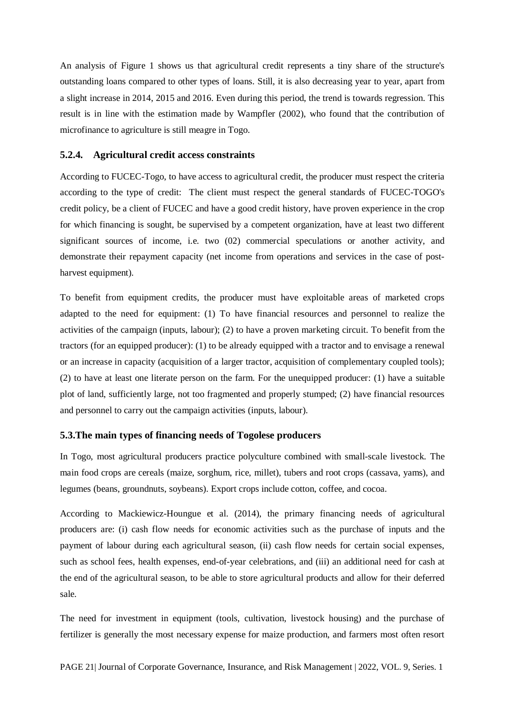An analysis of Figure 1 shows us that agricultural credit represents a tiny share of the structure's outstanding loans compared to other types of loans. Still, it is also decreasing year to year, apart from a slight increase in 2014, 2015 and 2016. Even during this period, the trend is towards regression. This result is in line with the estimation made by Wampfler (2002), who found that the contribution of microfinance to agriculture is still meagre in Togo.

### **5.2.4. Agricultural credit access constraints**

According to FUCEC-Togo, to have access to agricultural credit, the producer must respect the criteria according to the type of credit: The client must respect the general standards of FUCEC-TOGO's credit policy, be a client of FUCEC and have a good credit history, have proven experience in the crop for which financing is sought, be supervised by a competent organization, have at least two different significant sources of income, i.e. two (02) commercial speculations or another activity, and demonstrate their repayment capacity (net income from operations and services in the case of postharvest equipment).

To benefit from equipment credits, the producer must have exploitable areas of marketed crops adapted to the need for equipment: (1) To have financial resources and personnel to realize the activities of the campaign (inputs, labour); (2) to have a proven marketing circuit. To benefit from the tractors (for an equipped producer): (1) to be already equipped with a tractor and to envisage a renewal or an increase in capacity (acquisition of a larger tractor, acquisition of complementary coupled tools); (2) to have at least one literate person on the farm. For the unequipped producer: (1) have a suitable plot of land, sufficiently large, not too fragmented and properly stumped; (2) have financial resources and personnel to carry out the campaign activities (inputs, labour).

### **5.3.The main types of financing needs of Togolese producers**

In Togo, most agricultural producers practice polyculture combined with small-scale livestock. The main food crops are cereals (maize, sorghum, rice, millet), tubers and root crops (cassava, yams), and legumes (beans, groundnuts, soybeans). Export crops include cotton, coffee, and cocoa.

According to Mackiewicz-Houngue et al. (2014), the primary financing needs of agricultural producers are: (i) cash flow needs for economic activities such as the purchase of inputs and the payment of labour during each agricultural season, (ii) cash flow needs for certain social expenses, such as school fees, health expenses, end-of-year celebrations, and (iii) an additional need for cash at the end of the agricultural season, to be able to store agricultural products and allow for their deferred sale.

The need for investment in equipment (tools, cultivation, livestock housing) and the purchase of fertilizer is generally the most necessary expense for maize production, and farmers most often resort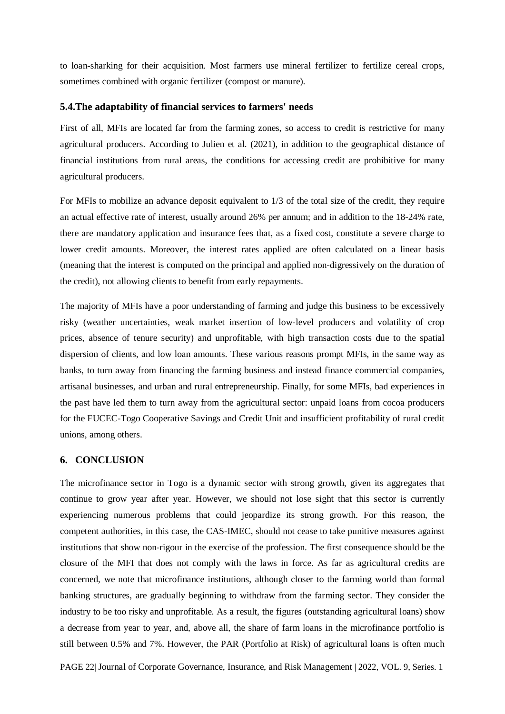to loan-sharking for their acquisition. Most farmers use mineral fertilizer to fertilize cereal crops, sometimes combined with organic fertilizer (compost or manure).

#### **5.4.The adaptability of financial services to farmers' needs**

First of all, MFIs are located far from the farming zones, so access to credit is restrictive for many agricultural producers. According to Julien et al. (2021), in addition to the geographical distance of financial institutions from rural areas, the conditions for accessing credit are prohibitive for many agricultural producers.

For MFIs to mobilize an advance deposit equivalent to 1/3 of the total size of the credit, they require an actual effective rate of interest, usually around 26% per annum; and in addition to the 18-24% rate, there are mandatory application and insurance fees that, as a fixed cost, constitute a severe charge to lower credit amounts. Moreover, the interest rates applied are often calculated on a linear basis (meaning that the interest is computed on the principal and applied non-digressively on the duration of the credit), not allowing clients to benefit from early repayments.

The majority of MFIs have a poor understanding of farming and judge this business to be excessively risky (weather uncertainties, weak market insertion of low-level producers and volatility of crop prices, absence of tenure security) and unprofitable, with high transaction costs due to the spatial dispersion of clients, and low loan amounts. These various reasons prompt MFIs, in the same way as banks, to turn away from financing the farming business and instead finance commercial companies, artisanal businesses, and urban and rural entrepreneurship. Finally, for some MFIs, bad experiences in the past have led them to turn away from the agricultural sector: unpaid loans from cocoa producers for the FUCEC-Togo Cooperative Savings and Credit Unit and insufficient profitability of rural credit unions, among others.

### **6. CONCLUSION**

The microfinance sector in Togo is a dynamic sector with strong growth, given its aggregates that continue to grow year after year. However, we should not lose sight that this sector is currently experiencing numerous problems that could jeopardize its strong growth. For this reason, the competent authorities, in this case, the CAS-IMEC, should not cease to take punitive measures against institutions that show non-rigour in the exercise of the profession. The first consequence should be the closure of the MFI that does not comply with the laws in force. As far as agricultural credits are concerned, we note that microfinance institutions, although closer to the farming world than formal banking structures, are gradually beginning to withdraw from the farming sector. They consider the industry to be too risky and unprofitable. As a result, the figures (outstanding agricultural loans) show a decrease from year to year, and, above all, the share of farm loans in the microfinance portfolio is still between 0.5% and 7%. However, the PAR (Portfolio at Risk) of agricultural loans is often much

PAGE 22| Journal of Corporate Governance, Insurance, and Risk Management | 2022, VOL. 9, Series. 1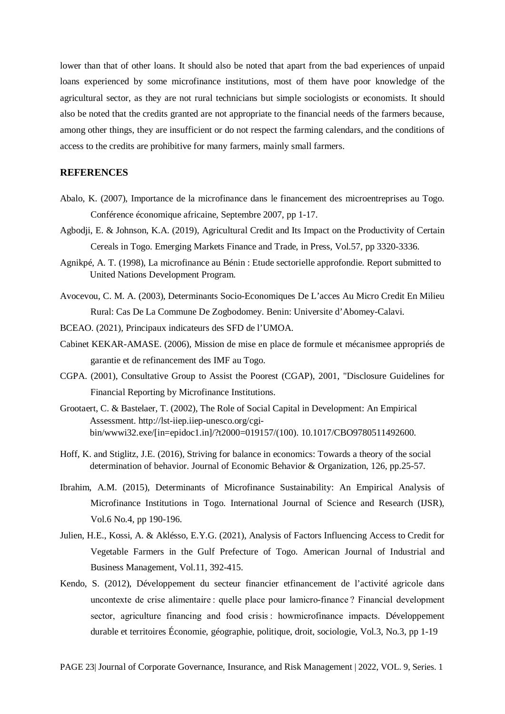lower than that of other loans. It should also be noted that apart from the bad experiences of unpaid loans experienced by some microfinance institutions, most of them have poor knowledge of the agricultural sector, as they are not rural technicians but simple sociologists or economists. It should also be noted that the credits granted are not appropriate to the financial needs of the farmers because, among other things, they are insufficient or do not respect the farming calendars, and the conditions of access to the credits are prohibitive for many farmers, mainly small farmers.

### **REFERENCES**

- Abalo, K. (2007), Importance de la microfinance dans le financement des microentreprises au Togo. Conférence économique africaine, Septembre 2007, pp 1-17.
- Agbodji, E. & Johnson, K.A. (2019), Agricultural Credit and Its Impact on the Productivity of Certain Cereals in Togo. Emerging Markets Finance and Trade, in Press, Vol.57, pp 3320-3336.
- Agnikpé, A. T. (1998), La microfinance au Bénin : Etude sectorielle approfondie. Report submitted to United Nations Development Program.
- Avocevou, C. M. A. (2003), Determinants Socio-Economiques De L'acces Au Micro Credit En Milieu Rural: Cas De La Commune De Zogbodomey. Benin: Universite d'Abomey-Calavi.
- BCEAO. (2021), Principaux indicateurs des SFD de l'UMOA.
- Cabinet KEKAR-AMASE. (2006), Mission de mise en place de formule et mécanismee appropriés de garantie et de refinancement des IMF au Togo.
- CGPA. (2001), Consultative Group to Assist the Poorest (CGAP), 2001, "Disclosure Guidelines for Financial Reporting by Microfinance Institutions.
- Grootaert, C. & Bastelaer, T. (2002), The Role of Social Capital in Development: An Empirical Assessment. http://lst-iiep.iiep-unesco.org/cgibin/wwwi32.exe/[in=epidoc1.in]/?t2000=019157/(100). 10.1017/CBO9780511492600.
- Hoff, K. and Stiglitz, J.E. (2016), Striving for balance in economics: Towards a theory of the social determination of behavior. Journal of Economic Behavior & Organization, 126, pp.25-57.
- Ibrahim, A.M. (2015), Determinants of Microfinance Sustainability: An Empirical Analysis of Microfinance Institutions in Togo. International Journal of Science and Research (IJSR), Vol.6 No.4, pp 190-196.
- Julien, H.E., Kossi, A. & Aklésso, E.Y.G. (2021), Analysis of Factors Influencing Access to Credit for Vegetable Farmers in the Gulf Prefecture of Togo. American Journal of Industrial and Business Management, Vol.11, 392-415.
- Kendo, S. (2012), Développement du secteur financier etfinancement de l'activité agricole dans uncontexte de crise alimentaire : quelle place pour lamicro-finance ? Financial development sector, agriculture financing and food crisis : howmicrofinance impacts. Développement durable et territoires Économie, géographie, politique, droit, sociologie, Vol.3, No.3, pp 1-19